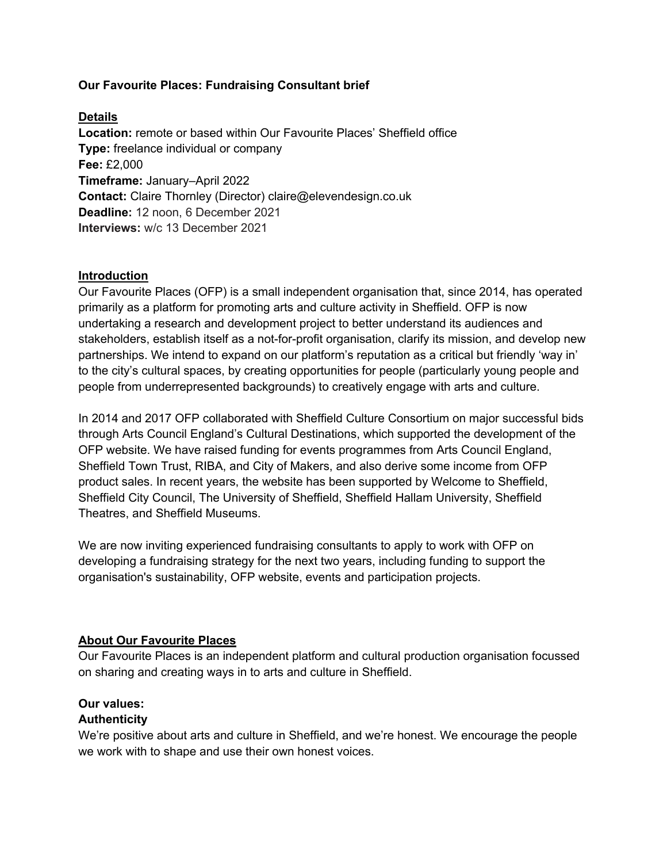## **Our Favourite Places: Fundraising Consultant brief**

## **Details**

**Location:** remote or based within Our Favourite Places' Sheffield office **Type:** freelance individual or company **Fee:** £2,000 **Timeframe:** January–April 2022 **Contact:** Claire Thornley (Director) claire@elevendesign.co.uk **Deadline:** 12 noon, 6 December 2021 **Interviews:** w/c 13 December 2021

#### **Introduction**

Our Favourite Places (OFP) is a small independent organisation that, since 2014, has operated primarily as a platform for promoting arts and culture activity in Sheffield. OFP is now undertaking a research and development project to better understand its audiences and stakeholders, establish itself as a not-for-profit organisation, clarify its mission, and develop new partnerships. We intend to expand on our platform's reputation as a critical but friendly 'way in' to the city's cultural spaces, by creating opportunities for people (particularly young people and people from underrepresented backgrounds) to creatively engage with arts and culture.

In 2014 and 2017 OFP collaborated with Sheffield Culture Consortium on major successful bids through Arts Council England's Cultural Destinations, which supported the development of the OFP website. We have raised funding for events programmes from Arts Council England, Sheffield Town Trust, RIBA, and City of Makers, and also derive some income from OFP product sales. In recent years, the website has been supported by Welcome to Sheffield, Sheffield City Council, The University of Sheffield, Sheffield Hallam University, Sheffield Theatres, and Sheffield Museums.

We are now inviting experienced fundraising consultants to apply to work with OFP on developing a fundraising strategy for the next two years, including funding to support the organisation's sustainability, OFP website, events and participation projects.

#### **About Our Favourite Places**

Our Favourite Places is an independent platform and cultural production organisation focussed on sharing and creating ways in to arts and culture in Sheffield.

# **Our values:**

#### **Authenticity**

We're positive about arts and culture in Sheffield, and we're honest. We encourage the people we work with to shape and use their own honest voices.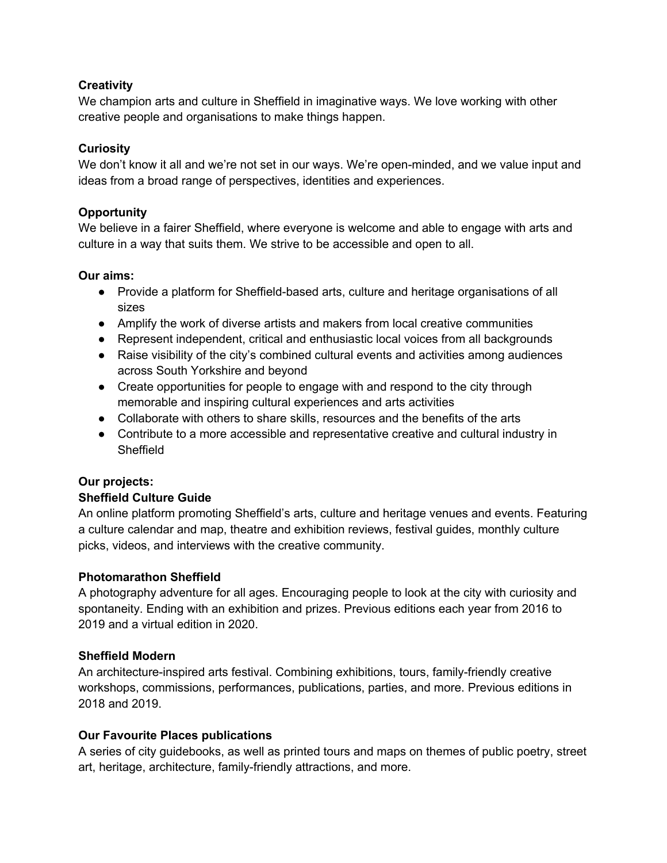# **Creativity**

We champion arts and culture in Sheffield in imaginative ways. We love working with other creative people and organisations to make things happen.

### **Curiosity**

We don't know it all and we're not set in our ways. We're open-minded, and we value input and ideas from a broad range of perspectives, identities and experiences.

## **Opportunity**

We believe in a fairer Sheffield, where everyone is welcome and able to engage with arts and culture in a way that suits them. We strive to be accessible and open to all.

#### **Our aims:**

- Provide a platform for Sheffield-based arts, culture and heritage organisations of all sizes
- Amplify the work of diverse artists and makers from local creative communities
- Represent independent, critical and enthusiastic local voices from all backgrounds
- Raise visibility of the city's combined cultural events and activities among audiences across South Yorkshire and beyond
- Create opportunities for people to engage with and respond to the city through memorable and inspiring cultural experiences and arts activities
- Collaborate with others to share skills, resources and the benefits of the arts
- Contribute to a more accessible and representative creative and cultural industry in **Sheffield**

#### **Our projects:**

#### **Sheffield Culture Guide**

An online platform promoting Sheffield's arts, culture and heritage venues and events. Featuring a culture calendar and map, theatre and exhibition reviews, festival guides, monthly culture picks, videos, and interviews with the creative community.

#### **Photomarathon Sheffield**

A photography adventure for all ages. Encouraging people to look at the city with curiosity and spontaneity. Ending with an exhibition and prizes. Previous editions each year from 2016 to 2019 and a virtual edition in 2020.

#### **Sheffield Modern**

An architecture-inspired arts festival. Combining exhibitions, tours, family-friendly creative workshops, commissions, performances, publications, parties, and more. Previous editions in 2018 and 2019.

#### **Our Favourite Places publications**

A series of city guidebooks, as well as printed tours and maps on themes of public poetry, street art, heritage, architecture, family-friendly attractions, and more.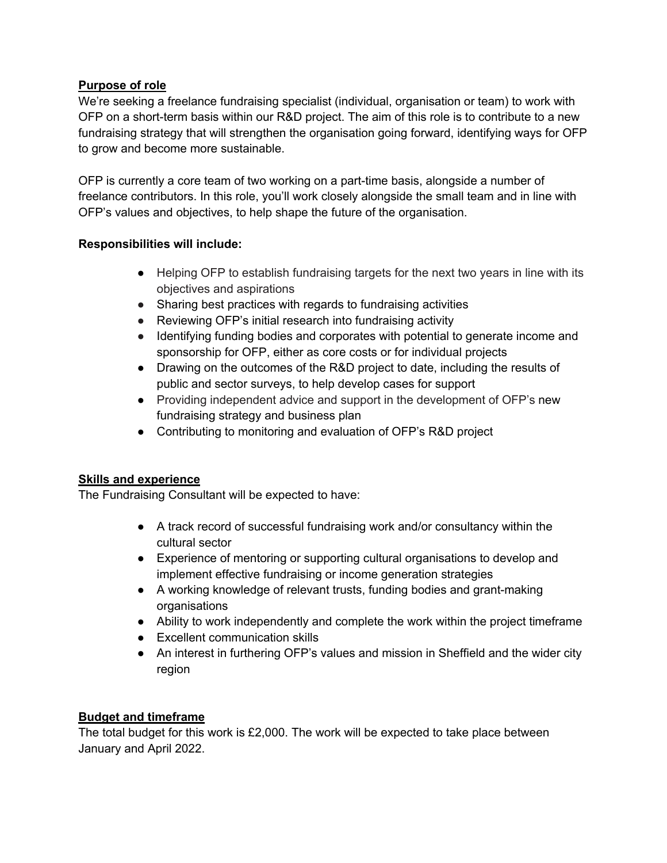# **Purpose of role**

We're seeking a freelance fundraising specialist (individual, organisation or team) to work with OFP on a short-term basis within our R&D project. The aim of this role is to contribute to a new fundraising strategy that will strengthen the organisation going forward, identifying ways for OFP to grow and become more sustainable.

OFP is currently a core team of two working on a part-time basis, alongside a number of freelance contributors. In this role, you'll work closely alongside the small team and in line with OFP's values and objectives, to help shape the future of the organisation.

## **Responsibilities will include:**

- Helping OFP to establish fundraising targets for the next two years in line with its objectives and aspirations
- Sharing best practices with regards to fundraising activities
- Reviewing OFP's initial research into fundraising activity
- Identifying funding bodies and corporates with potential to generate income and sponsorship for OFP, either as core costs or for individual projects
- Drawing on the outcomes of the R&D project to date, including the results of public and sector surveys, to help develop cases for support
- Providing independent advice and support in the development of OFP's new fundraising strategy and business plan
- Contributing to monitoring and evaluation of OFP's R&D project

# **Skills and experience**

The Fundraising Consultant will be expected to have:

- A track record of successful fundraising work and/or consultancy within the cultural sector
- Experience of mentoring or supporting cultural organisations to develop and implement effective fundraising or income generation strategies
- A working knowledge of relevant trusts, funding bodies and grant-making organisations
- Ability to work independently and complete the work within the project timeframe
- Excellent communication skills
- An interest in furthering OFP's values and mission in Sheffield and the wider city region

#### **Budget and timeframe**

The total budget for this work is £2,000. The work will be expected to take place between January and April 2022.